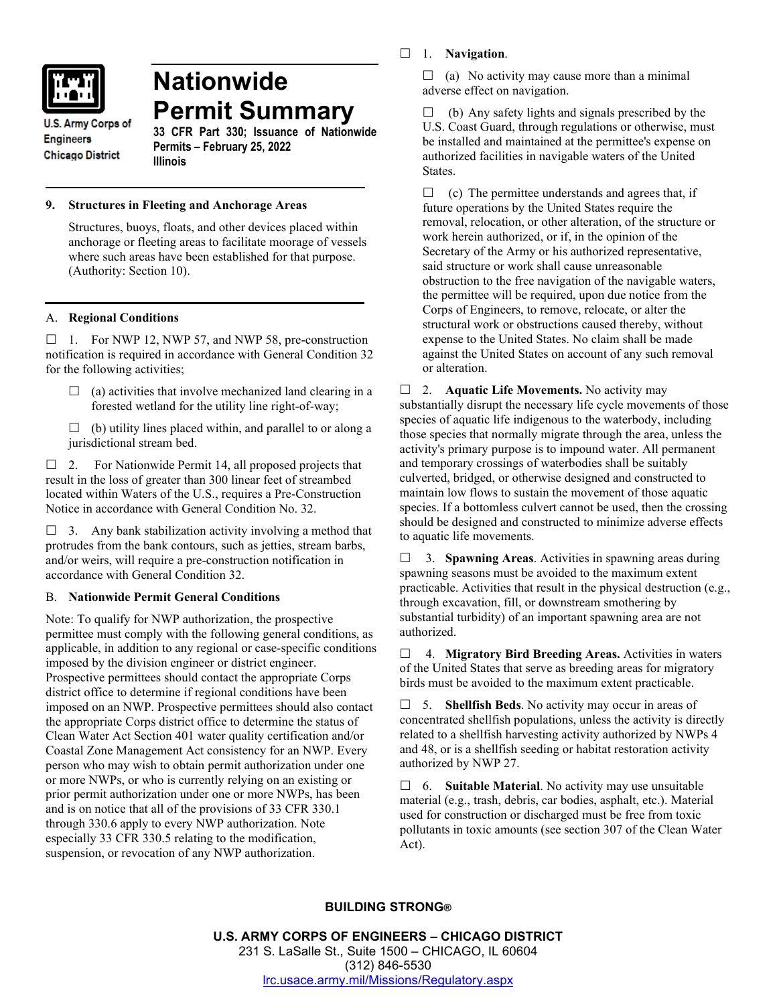

# **Nationwide Permit Summary**

**U.S. Army Corps of Engineers Chicago District** 

**33 CFR Part 330; Issuance of Nationwide Permits – February 25, 2022 Illinois**

## **9. Structures in Fleeting and Anchorage Areas**

Structures, buoys, floats, and other devices placed within anchorage or fleeting areas to facilitate moorage of vessels where such areas have been established for that purpose. (Authority: Section 10).

# A. **Regional Conditions**

 $\Box$  1. For NWP 12, NWP 57, and NWP 58, pre-construction notification is required in accordance with General Condition 32 for the following activities;

- $\Box$  (a) activities that involve mechanized land clearing in a forested wetland for the utility line right-of-way;
- $\Box$  (b) utility lines placed within, and parallel to or along a jurisdictional stream bed.

 $\Box$  2. For Nationwide Permit 14, all proposed projects that result in the loss of greater than 300 linear feet of streambed located within Waters of the U.S., requires a Pre-Construction Notice in accordance with General Condition No. 32.

 $\Box$  3. Any bank stabilization activity involving a method that protrudes from the bank contours, such as jetties, stream barbs, and/or weirs, will require a pre-construction notification in accordance with General Condition 32.

## B. **Nationwide Permit General Conditions**

Note: To qualify for NWP authorization, the prospective permittee must comply with the following general conditions, as applicable, in addition to any regional or case-specific conditions imposed by the division engineer or district engineer. Prospective permittees should contact the appropriate Corps district office to determine if regional conditions have been imposed on an NWP. Prospective permittees should also contact the appropriate Corps district office to determine the status of Clean Water Act Section 401 water quality certification and/or Coastal Zone Management Act consistency for an NWP. Every person who may wish to obtain permit authorization under one or more NWPs, or who is currently relying on an existing or prior permit authorization under one or more NWPs, has been and is on notice that all of the provisions of 33 CFR 330.1 through 330.6 apply to every NWP authorization. Note especially 33 CFR 330.5 relating to the modification, suspension, or revocation of any NWP authorization.

1. **Navigation**.

 $\Box$  (a) No activity may cause more than a minimal adverse effect on navigation.

 $\Box$  (b) Any safety lights and signals prescribed by the U.S. Coast Guard, through regulations or otherwise, must be installed and maintained at the permittee's expense on authorized facilities in navigable waters of the United States.

 $\Box$  (c) The permittee understands and agrees that, if future operations by the United States require the removal, relocation, or other alteration, of the structure or work herein authorized, or if, in the opinion of the Secretary of the Army or his authorized representative, said structure or work shall cause unreasonable obstruction to the free navigation of the navigable waters, the permittee will be required, upon due notice from the Corps of Engineers, to remove, relocate, or alter the structural work or obstructions caused thereby, without expense to the United States. No claim shall be made against the United States on account of any such removal or alteration.

□ 2. **Aquatic Life Movements.** No activity may substantially disrupt the necessary life cycle movements of those species of aquatic life indigenous to the waterbody, including those species that normally migrate through the area, unless the activity's primary purpose is to impound water. All permanent and temporary crossings of waterbodies shall be suitably culverted, bridged, or otherwise designed and constructed to maintain low flows to sustain the movement of those aquatic species. If a bottomless culvert cannot be used, then the crossing should be designed and constructed to minimize adverse effects to aquatic life movements.

 3. **Spawning Areas**. Activities in spawning areas during spawning seasons must be avoided to the maximum extent practicable. Activities that result in the physical destruction (e.g., through excavation, fill, or downstream smothering by substantial turbidity) of an important spawning area are not authorized.

 4. **Migratory Bird Breeding Areas.** Activities in waters of the United States that serve as breeding areas for migratory birds must be avoided to the maximum extent practicable.

 5. **Shellfish Beds**. No activity may occur in areas of concentrated shellfish populations, unless the activity is directly related to a shellfish harvesting activity authorized by NWPs 4 and 48, or is a shellfish seeding or habitat restoration activity authorized by NWP 27.

 6. **Suitable Material**. No activity may use unsuitable material (e.g., trash, debris, car bodies, asphalt, etc.). Material used for construction or discharged must be free from toxic pollutants in toxic amounts (see section 307 of the Clean Water Act).

# **BUILDING STRONG®**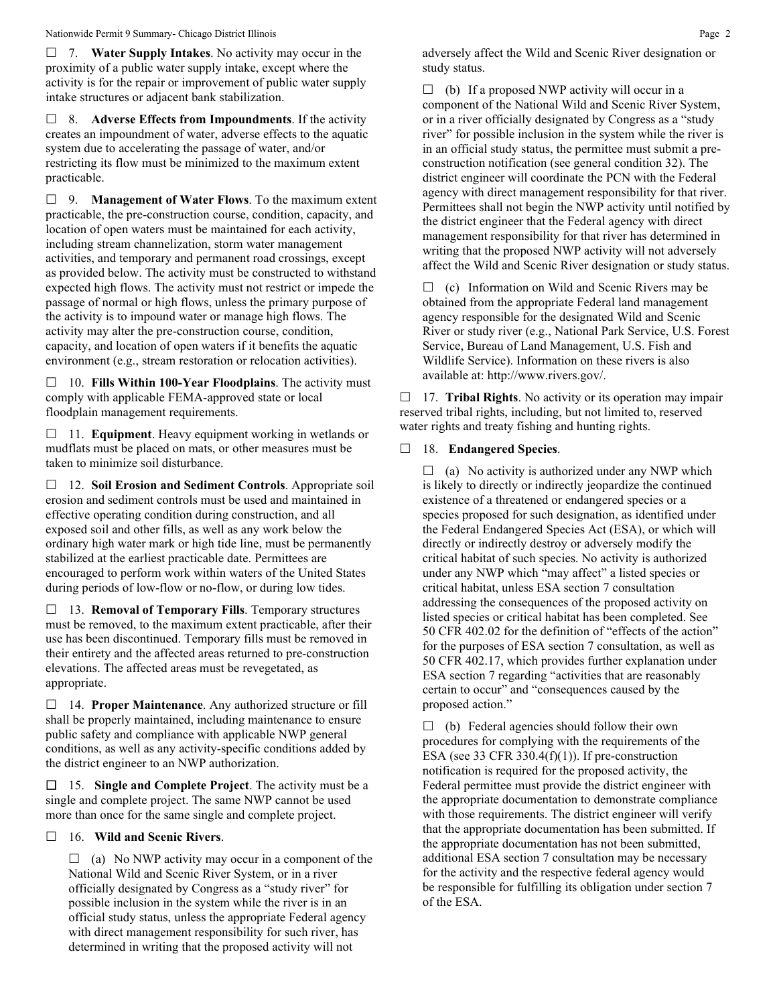7. **Water Supply Intakes**. No activity may occur in the proximity of a public water supply intake, except where the activity is for the repair or improvement of public water supply intake structures or adjacent bank stabilization.

 8. **Adverse Effects from Impoundments**. If the activity creates an impoundment of water, adverse effects to the aquatic system due to accelerating the passage of water, and/or restricting its flow must be minimized to the maximum extent practicable.

 9. **Management of Water Flows**. To the maximum extent practicable, the pre-construction course, condition, capacity, and location of open waters must be maintained for each activity, including stream channelization, storm water management activities, and temporary and permanent road crossings, except as provided below. The activity must be constructed to withstand expected high flows. The activity must not restrict or impede the passage of normal or high flows, unless the primary purpose of the activity is to impound water or manage high flows. The activity may alter the pre-construction course, condition, capacity, and location of open waters if it benefits the aquatic environment (e.g., stream restoration or relocation activities).

 10. **Fills Within 100-Year Floodplains**. The activity must comply with applicable FEMA-approved state or local floodplain management requirements.

□ 11. **Equipment**. Heavy equipment working in wetlands or mudflats must be placed on mats, or other measures must be taken to minimize soil disturbance.

 12. **Soil Erosion and Sediment Controls**. Appropriate soil erosion and sediment controls must be used and maintained in effective operating condition during construction, and all exposed soil and other fills, as well as any work below the ordinary high water mark or high tide line, must be permanently stabilized at the earliest practicable date. Permittees are encouraged to perform work within waters of the United States during periods of low-flow or no-flow, or during low tides.

 13. **Removal of Temporary Fills**. Temporary structures must be removed, to the maximum extent practicable, after their use has been discontinued. Temporary fills must be removed in their entirety and the affected areas returned to pre-construction elevations. The affected areas must be revegetated, as appropriate.

 14. **Proper Maintenance**. Any authorized structure or fill shall be properly maintained, including maintenance to ensure public safety and compliance with applicable NWP general conditions, as well as any activity-specific conditions added by the district engineer to an NWP authorization.

 15. **Single and Complete Project**. The activity must be a single and complete project. The same NWP cannot be used more than once for the same single and complete project.

## 16. **Wild and Scenic Rivers**.

 $\Box$  (a) No NWP activity may occur in a component of the National Wild and Scenic River System, or in a river officially designated by Congress as a "study river" for possible inclusion in the system while the river is in an official study status, unless the appropriate Federal agency with direct management responsibility for such river, has determined in writing that the proposed activity will not

adversely affect the Wild and Scenic River designation or study status.

 $\Box$  (b) If a proposed NWP activity will occur in a component of the National Wild and Scenic River System, or in a river officially designated by Congress as a "study river" for possible inclusion in the system while the river is in an official study status, the permittee must submit a preconstruction notification (see general condition 32). The district engineer will coordinate the PCN with the Federal agency with direct management responsibility for that river. Permittees shall not begin the NWP activity until notified by the district engineer that the Federal agency with direct management responsibility for that river has determined in writing that the proposed NWP activity will not adversely affect the Wild and Scenic River designation or study status.

 $\Box$  (c) Information on Wild and Scenic Rivers may be obtained from the appropriate Federal land management agency responsible for the designated Wild and Scenic River or study river (e.g., National Park Service, U.S. Forest Service, Bureau of Land Management, U.S. Fish and Wildlife Service). Information on these rivers is also available at: http://www.rivers.gov/.

 17. **Tribal Rights**. No activity or its operation may impair reserved tribal rights, including, but not limited to, reserved water rights and treaty fishing and hunting rights.

## 18. **Endangered Species**.

 $\Box$  (a) No activity is authorized under any NWP which is likely to directly or indirectly jeopardize the continued existence of a threatened or endangered species or a species proposed for such designation, as identified under the Federal Endangered Species Act (ESA), or which will directly or indirectly destroy or adversely modify the critical habitat of such species. No activity is authorized under any NWP which "may affect" a listed species or critical habitat, unless ESA section 7 consultation addressing the consequences of the proposed activity on listed species or critical habitat has been completed. See 50 CFR 402.02 for the definition of "effects of the action" for the purposes of ESA section 7 consultation, as well as 50 CFR 402.17, which provides further explanation under ESA section 7 regarding "activities that are reasonably certain to occur" and "consequences caused by the proposed action."

 $\Box$  (b) Federal agencies should follow their own procedures for complying with the requirements of the ESA (see 33 CFR 330.4 $(f)(1)$ ). If pre-construction notification is required for the proposed activity, the Federal permittee must provide the district engineer with the appropriate documentation to demonstrate compliance with those requirements. The district engineer will verify that the appropriate documentation has been submitted. If the appropriate documentation has not been submitted, additional ESA section 7 consultation may be necessary for the activity and the respective federal agency would be responsible for fulfilling its obligation under section 7 of the ESA.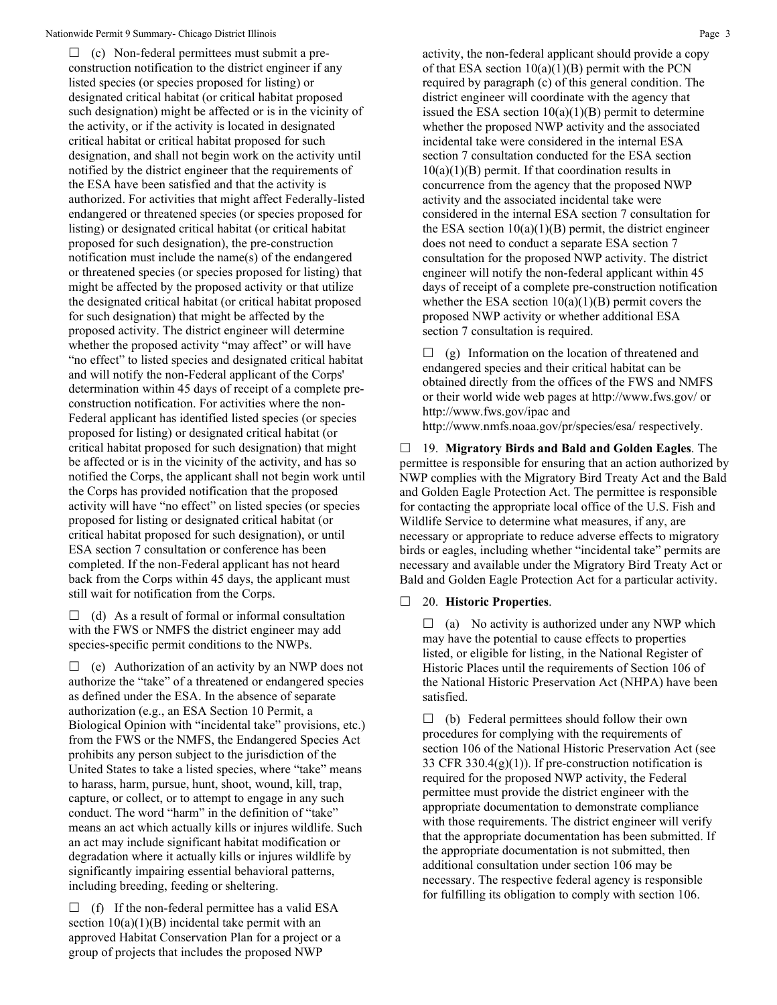$\Box$  (c) Non-federal permittees must submit a preconstruction notification to the district engineer if any listed species (or species proposed for listing) or designated critical habitat (or critical habitat proposed such designation) might be affected or is in the vicinity of the activity, or if the activity is located in designated critical habitat or critical habitat proposed for such designation, and shall not begin work on the activity until notified by the district engineer that the requirements of the ESA have been satisfied and that the activity is authorized. For activities that might affect Federally-listed endangered or threatened species (or species proposed for listing) or designated critical habitat (or critical habitat proposed for such designation), the pre-construction notification must include the name(s) of the endangered or threatened species (or species proposed for listing) that might be affected by the proposed activity or that utilize the designated critical habitat (or critical habitat proposed for such designation) that might be affected by the proposed activity. The district engineer will determine whether the proposed activity "may affect" or will have "no effect" to listed species and designated critical habitat and will notify the non-Federal applicant of the Corps' determination within 45 days of receipt of a complete preconstruction notification. For activities where the non-Federal applicant has identified listed species (or species proposed for listing) or designated critical habitat (or critical habitat proposed for such designation) that might be affected or is in the vicinity of the activity, and has so notified the Corps, the applicant shall not begin work until the Corps has provided notification that the proposed activity will have "no effect" on listed species (or species proposed for listing or designated critical habitat (or critical habitat proposed for such designation), or until ESA section 7 consultation or conference has been completed. If the non-Federal applicant has not heard back from the Corps within 45 days, the applicant must still wait for notification from the Corps.

 $\Box$  (d) As a result of formal or informal consultation with the FWS or NMFS the district engineer may add species-specific permit conditions to the NWPs.

 $\Box$  (e) Authorization of an activity by an NWP does not authorize the "take" of a threatened or endangered species as defined under the ESA. In the absence of separate authorization (e.g., an ESA Section 10 Permit, a Biological Opinion with "incidental take" provisions, etc.) from the FWS or the NMFS, the Endangered Species Act prohibits any person subject to the jurisdiction of the United States to take a listed species, where "take" means to harass, harm, pursue, hunt, shoot, wound, kill, trap, capture, or collect, or to attempt to engage in any such conduct. The word "harm" in the definition of "take" means an act which actually kills or injures wildlife. Such an act may include significant habitat modification or degradation where it actually kills or injures wildlife by significantly impairing essential behavioral patterns, including breeding, feeding or sheltering.

 $\Box$  (f) If the non-federal permittee has a valid ESA section  $10(a)(1)(B)$  incidental take permit with an approved Habitat Conservation Plan for a project or a group of projects that includes the proposed NWP

activity, the non-federal applicant should provide a copy of that ESA section  $10(a)(1)(B)$  permit with the PCN required by paragraph (c) of this general condition. The district engineer will coordinate with the agency that issued the ESA section  $10(a)(1)(B)$  permit to determine whether the proposed NWP activity and the associated incidental take were considered in the internal ESA section 7 consultation conducted for the ESA section  $10(a)(1)(B)$  permit. If that coordination results in concurrence from the agency that the proposed NWP activity and the associated incidental take were considered in the internal ESA section 7 consultation for the ESA section  $10(a)(1)(B)$  permit, the district engineer does not need to conduct a separate ESA section 7 consultation for the proposed NWP activity. The district engineer will notify the non-federal applicant within 45 days of receipt of a complete pre-construction notification whether the ESA section  $10(a)(1)(B)$  permit covers the proposed NWP activity or whether additional ESA section 7 consultation is required.

 $\Box$  (g) Information on the location of threatened and endangered species and their critical habitat can be obtained directly from the offices of the FWS and NMFS or their world wide web pages at http://www.fws.gov/ or http://www.fws.gov/ipac and

http://www.nmfs.noaa.gov/pr/species/esa/ respectively.

 19. **Migratory Birds and Bald and Golden Eagles**. The permittee is responsible for ensuring that an action authorized by NWP complies with the Migratory Bird Treaty Act and the Bald and Golden Eagle Protection Act. The permittee is responsible for contacting the appropriate local office of the U.S. Fish and Wildlife Service to determine what measures, if any, are necessary or appropriate to reduce adverse effects to migratory birds or eagles, including whether "incidental take" permits are necessary and available under the Migratory Bird Treaty Act or Bald and Golden Eagle Protection Act for a particular activity.

#### 20. **Historic Properties**.

 $\Box$  (a) No activity is authorized under any NWP which may have the potential to cause effects to properties listed, or eligible for listing, in the National Register of Historic Places until the requirements of Section 106 of the National Historic Preservation Act (NHPA) have been satisfied.

 $\Box$  (b) Federal permittees should follow their own procedures for complying with the requirements of section 106 of the National Historic Preservation Act (see 33 CFR 330.4 $(g)(1)$ ). If pre-construction notification is required for the proposed NWP activity, the Federal permittee must provide the district engineer with the appropriate documentation to demonstrate compliance with those requirements. The district engineer will verify that the appropriate documentation has been submitted. If the appropriate documentation is not submitted, then additional consultation under section 106 may be necessary. The respective federal agency is responsible for fulfilling its obligation to comply with section 106.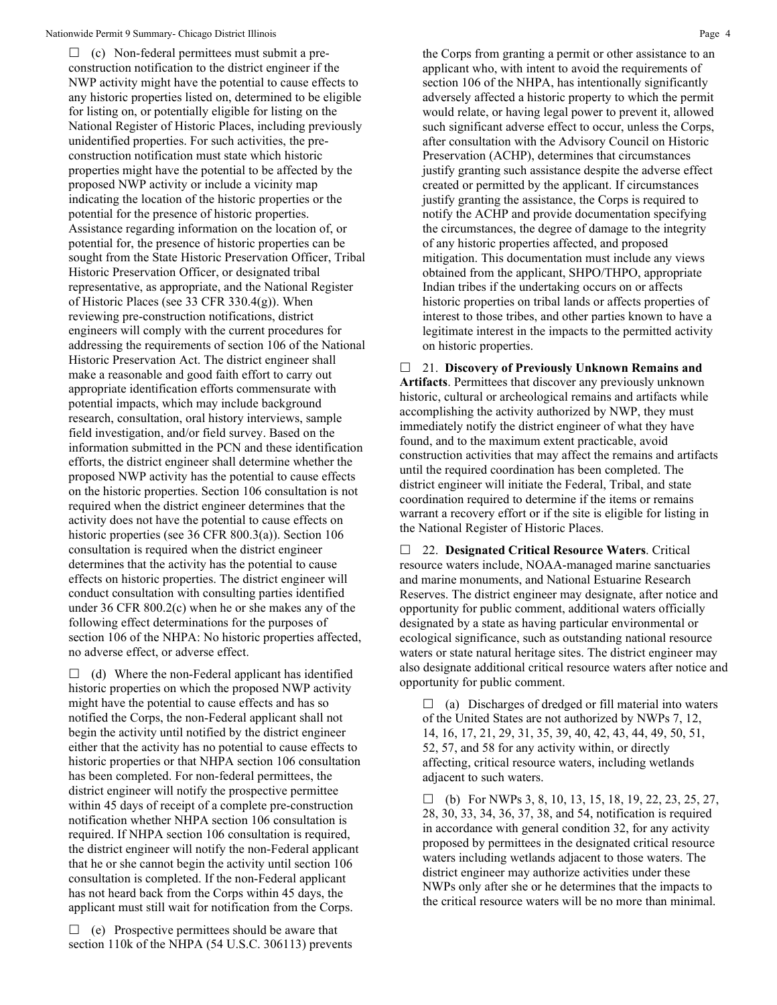$\Box$  (c) Non-federal permittees must submit a preconstruction notification to the district engineer if the NWP activity might have the potential to cause effects to any historic properties listed on, determined to be eligible for listing on, or potentially eligible for listing on the National Register of Historic Places, including previously unidentified properties. For such activities, the preconstruction notification must state which historic properties might have the potential to be affected by the proposed NWP activity or include a vicinity map indicating the location of the historic properties or the potential for the presence of historic properties. Assistance regarding information on the location of, or potential for, the presence of historic properties can be sought from the State Historic Preservation Officer, Tribal Historic Preservation Officer, or designated tribal representative, as appropriate, and the National Register of Historic Places (see 33 CFR 330.4(g)). When reviewing pre-construction notifications, district engineers will comply with the current procedures for addressing the requirements of section 106 of the National Historic Preservation Act. The district engineer shall make a reasonable and good faith effort to carry out appropriate identification efforts commensurate with potential impacts, which may include background research, consultation, oral history interviews, sample field investigation, and/or field survey. Based on the information submitted in the PCN and these identification efforts, the district engineer shall determine whether the proposed NWP activity has the potential to cause effects on the historic properties. Section 106 consultation is not required when the district engineer determines that the activity does not have the potential to cause effects on historic properties (see 36 CFR 800.3(a)). Section 106 consultation is required when the district engineer determines that the activity has the potential to cause effects on historic properties. The district engineer will conduct consultation with consulting parties identified under 36 CFR 800.2(c) when he or she makes any of the following effect determinations for the purposes of section 106 of the NHPA: No historic properties affected, no adverse effect, or adverse effect.

 $\Box$  (d) Where the non-Federal applicant has identified historic properties on which the proposed NWP activity might have the potential to cause effects and has so notified the Corps, the non-Federal applicant shall not begin the activity until notified by the district engineer either that the activity has no potential to cause effects to historic properties or that NHPA section 106 consultation has been completed. For non-federal permittees, the district engineer will notify the prospective permittee within 45 days of receipt of a complete pre-construction notification whether NHPA section 106 consultation is required. If NHPA section 106 consultation is required, the district engineer will notify the non-Federal applicant that he or she cannot begin the activity until section 106 consultation is completed. If the non-Federal applicant has not heard back from the Corps within 45 days, the applicant must still wait for notification from the Corps.

 $\Box$  (e) Prospective permittees should be aware that section 110k of the NHPA (54 U.S.C. 306113) prevents the Corps from granting a permit or other assistance to an applicant who, with intent to avoid the requirements of section 106 of the NHPA, has intentionally significantly adversely affected a historic property to which the permit would relate, or having legal power to prevent it, allowed such significant adverse effect to occur, unless the Corps, after consultation with the Advisory Council on Historic Preservation (ACHP), determines that circumstances justify granting such assistance despite the adverse effect created or permitted by the applicant. If circumstances justify granting the assistance, the Corps is required to notify the ACHP and provide documentation specifying the circumstances, the degree of damage to the integrity of any historic properties affected, and proposed mitigation. This documentation must include any views obtained from the applicant, SHPO/THPO, appropriate Indian tribes if the undertaking occurs on or affects historic properties on tribal lands or affects properties of interest to those tribes, and other parties known to have a legitimate interest in the impacts to the permitted activity on historic properties.

 21. **Discovery of Previously Unknown Remains and Artifacts**. Permittees that discover any previously unknown historic, cultural or archeological remains and artifacts while accomplishing the activity authorized by NWP, they must immediately notify the district engineer of what they have found, and to the maximum extent practicable, avoid construction activities that may affect the remains and artifacts until the required coordination has been completed. The district engineer will initiate the Federal, Tribal, and state coordination required to determine if the items or remains warrant a recovery effort or if the site is eligible for listing in the National Register of Historic Places.

 22. **Designated Critical Resource Waters**. Critical resource waters include, NOAA-managed marine sanctuaries and marine monuments, and National Estuarine Research Reserves. The district engineer may designate, after notice and opportunity for public comment, additional waters officially designated by a state as having particular environmental or ecological significance, such as outstanding national resource waters or state natural heritage sites. The district engineer may also designate additional critical resource waters after notice and opportunity for public comment.

 $\Box$  (a) Discharges of dredged or fill material into waters of the United States are not authorized by NWPs 7, 12, 14, 16, 17, 21, 29, 31, 35, 39, 40, 42, 43, 44, 49, 50, 51, 52, 57, and 58 for any activity within, or directly affecting, critical resource waters, including wetlands adjacent to such waters.

 $\Box$  (b) For NWPs 3, 8, 10, 13, 15, 18, 19, 22, 23, 25, 27, 28, 30, 33, 34, 36, 37, 38, and 54, notification is required in accordance with general condition 32, for any activity proposed by permittees in the designated critical resource waters including wetlands adjacent to those waters. The district engineer may authorize activities under these NWPs only after she or he determines that the impacts to the critical resource waters will be no more than minimal.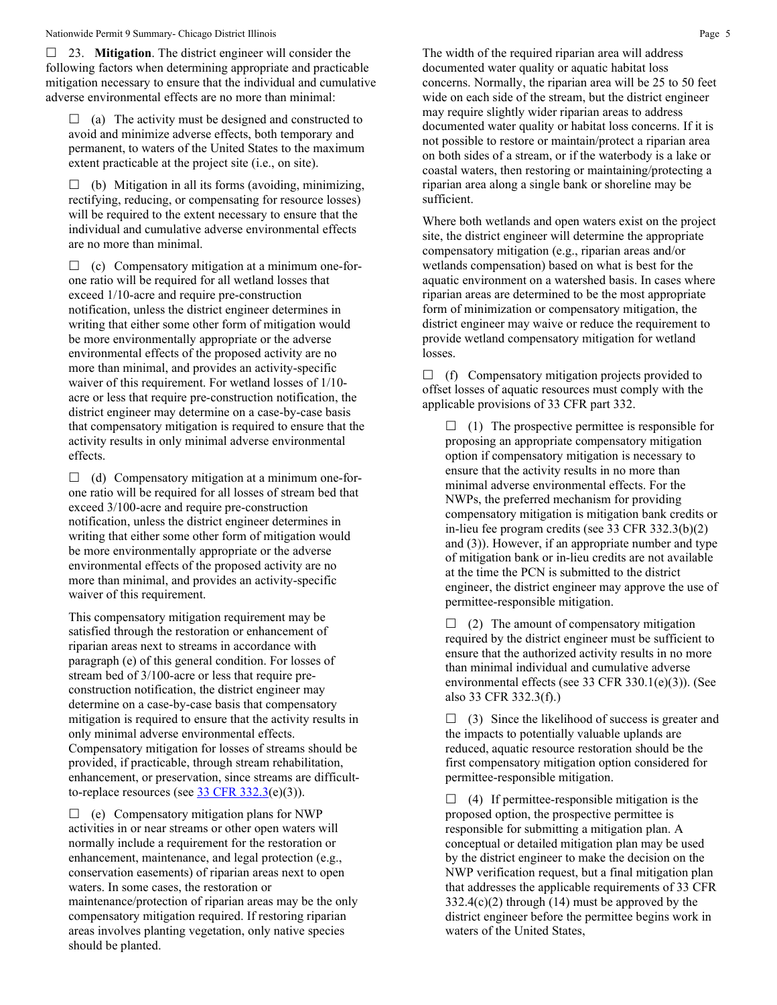#### Nationwide Permit 9 Summary- Chicago District Illinois **Page 5 Page 5**

 23. **Mitigation**. The district engineer will consider the following factors when determining appropriate and practicable mitigation necessary to ensure that the individual and cumulative adverse environmental effects are no more than minimal:

 $\Box$  (a) The activity must be designed and constructed to avoid and minimize adverse effects, both temporary and permanent, to waters of the United States to the maximum extent practicable at the project site (i.e., on site).

 $\Box$  (b) Mitigation in all its forms (avoiding, minimizing, rectifying, reducing, or compensating for resource losses) will be required to the extent necessary to ensure that the individual and cumulative adverse environmental effects are no more than minimal.

 $\Box$  (c) Compensatory mitigation at a minimum one-forone ratio will be required for all wetland losses that exceed 1/10-acre and require pre-construction notification, unless the district engineer determines in writing that either some other form of mitigation would be more environmentally appropriate or the adverse environmental effects of the proposed activity are no more than minimal, and provides an activity-specific waiver of this requirement. For wetland losses of 1/10 acre or less that require pre-construction notification, the district engineer may determine on a case-by-case basis that compensatory mitigation is required to ensure that the activity results in only minimal adverse environmental effects.

 $\Box$  (d) Compensatory mitigation at a minimum one-forone ratio will be required for all losses of stream bed that exceed 3/100-acre and require pre-construction notification, unless the district engineer determines in writing that either some other form of mitigation would be more environmentally appropriate or the adverse environmental effects of the proposed activity are no more than minimal, and provides an activity-specific waiver of this requirement.

This compensatory mitigation requirement may be satisfied through the restoration or enhancement of riparian areas next to streams in accordance with paragraph (e) of this general condition. For losses of stream bed of 3/100-acre or less that require preconstruction notification, the district engineer may determine on a case-by-case basis that compensatory mitigation is required to ensure that the activity results in only minimal adverse environmental effects. Compensatory mitigation for losses of streams should be provided, if practicable, through stream rehabilitation, enhancement, or preservation, since streams are difficultto-replace resources (see  $33 \text{ CFR } 332.3(e)(3)$ ).

 $\Box$  (e) Compensatory mitigation plans for NWP activities in or near streams or other open waters will normally include a requirement for the restoration or enhancement, maintenance, and legal protection (e.g., conservation easements) of riparian areas next to open waters. In some cases, the restoration or maintenance/protection of riparian areas may be the only compensatory mitigation required. If restoring riparian areas involves planting vegetation, only native species should be planted.

The width of the required riparian area will address documented water quality or aquatic habitat loss concerns. Normally, the riparian area will be 25 to 50 feet wide on each side of the stream, but the district engineer may require slightly wider riparian areas to address documented water quality or habitat loss concerns. If it is not possible to restore or maintain/protect a riparian area on both sides of a stream, or if the waterbody is a lake or coastal waters, then restoring or maintaining/protecting a riparian area along a single bank or shoreline may be sufficient.

Where both wetlands and open waters exist on the project site, the district engineer will determine the appropriate compensatory mitigation (e.g., riparian areas and/or wetlands compensation) based on what is best for the aquatic environment on a watershed basis. In cases where riparian areas are determined to be the most appropriate form of minimization or compensatory mitigation, the district engineer may waive or reduce the requirement to provide wetland compensatory mitigation for wetland losses.

 $\Box$  (f) Compensatory mitigation projects provided to offset losses of aquatic resources must comply with the applicable provisions of 33 CFR part 332.

 $\Box$  (1) The prospective permittee is responsible for proposing an appropriate compensatory mitigation option if compensatory mitigation is necessary to ensure that the activity results in no more than minimal adverse environmental effects. For the NWPs, the preferred mechanism for providing compensatory mitigation is mitigation bank credits or in-lieu fee program credits (see 33 CFR 332.3(b)(2) and (3)). However, if an appropriate number and type of mitigation bank or in-lieu credits are not available at the time the PCN is submitted to the district engineer, the district engineer may approve the use of permittee-responsible mitigation.

 $\Box$  (2) The amount of compensatory mitigation required by the district engineer must be sufficient to ensure that the authorized activity results in no more than minimal individual and cumulative adverse environmental effects (see 33 CFR 330.1(e)(3)). (See also 33 CFR 332.3(f).)

 $\Box$  (3) Since the likelihood of success is greater and the impacts to potentially valuable uplands are reduced, aquatic resource restoration should be the first compensatory mitigation option considered for permittee-responsible mitigation.

 $\Box$  (4) If permittee-responsible mitigation is the proposed option, the prospective permittee is responsible for submitting a mitigation plan. A conceptual or detailed mitigation plan may be used by the district engineer to make the decision on the NWP verification request, but a final mitigation plan that addresses the applicable requirements of 33 CFR  $332.4(c)(2)$  through (14) must be approved by the district engineer before the permittee begins work in waters of the United States,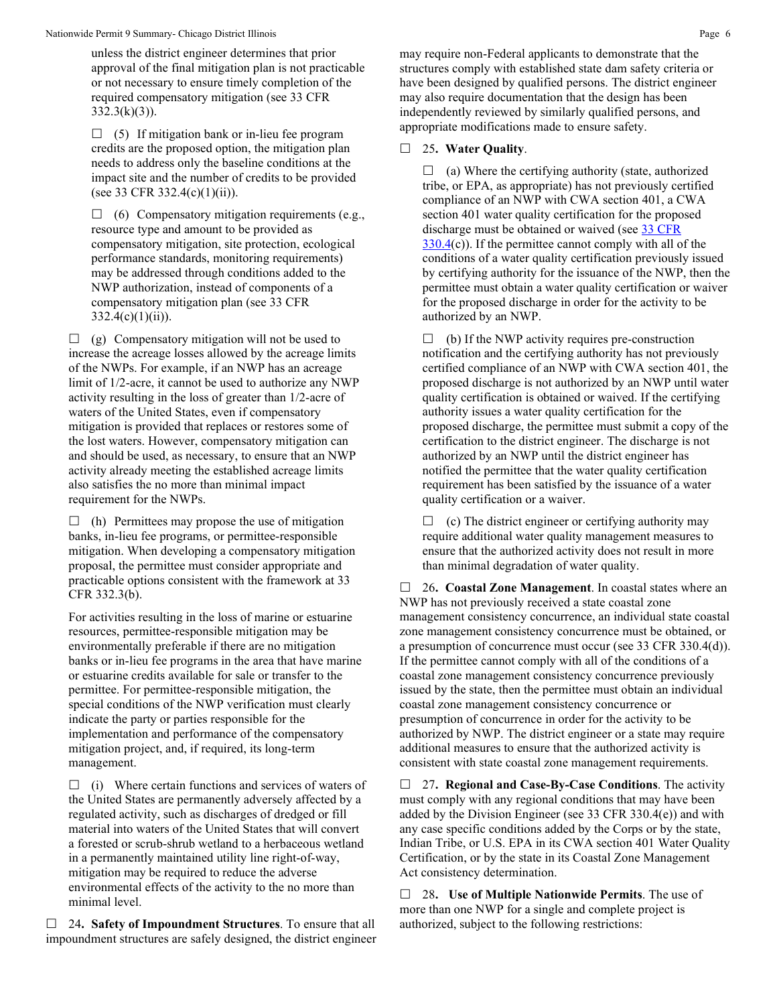unless the district engineer determines that prior approval of the final mitigation plan is not practicable or not necessary to ensure timely completion of the required compensatory mitigation (see 33 CFR  $332.3(k)(3)$ ).

 $\Box$  (5) If mitigation bank or in-lieu fee program credits are the proposed option, the mitigation plan needs to address only the baseline conditions at the impact site and the number of credits to be provided (see 33 CFR 332.4(c)(1)(ii)).

 $\Box$  (6) Compensatory mitigation requirements (e.g., resource type and amount to be provided as compensatory mitigation, site protection, ecological performance standards, monitoring requirements) may be addressed through conditions added to the NWP authorization, instead of components of a compensatory mitigation plan (see 33 CFR  $332.4(c)(1)(ii)$ .

 $\Box$  (g) Compensatory mitigation will not be used to increase the acreage losses allowed by the acreage limits of the NWPs. For example, if an NWP has an acreage limit of 1/2-acre, it cannot be used to authorize any NWP activity resulting in the loss of greater than 1/2-acre of waters of the United States, even if compensatory mitigation is provided that replaces or restores some of the lost waters. However, compensatory mitigation can and should be used, as necessary, to ensure that an NWP activity already meeting the established acreage limits also satisfies the no more than minimal impact requirement for the NWPs.

 $\Box$  (h) Permittees may propose the use of mitigation banks, in-lieu fee programs, or permittee-responsible mitigation. When developing a compensatory mitigation proposal, the permittee must consider appropriate and practicable options consistent with the framework at 33 CFR 332.3(b).

For activities resulting in the loss of marine or estuarine resources, permittee-responsible mitigation may be environmentally preferable if there are no mitigation banks or in-lieu fee programs in the area that have marine or estuarine credits available for sale or transfer to the permittee. For permittee-responsible mitigation, the special conditions of the NWP verification must clearly indicate the party or parties responsible for the implementation and performance of the compensatory mitigation project, and, if required, its long-term management.

 $\Box$  (i) Where certain functions and services of waters of the United States are permanently adversely affected by a regulated activity, such as discharges of dredged or fill material into waters of the United States that will convert a forested or scrub-shrub wetland to a herbaceous wetland in a permanently maintained utility line right-of-way, mitigation may be required to reduce the adverse environmental effects of the activity to the no more than minimal level.

 24**. Safety of Impoundment Structures**. To ensure that all impoundment structures are safely designed, the district engineer may require non-Federal applicants to demonstrate that the structures comply with established state dam safety criteria or have been designed by qualified persons. The district engineer may also require documentation that the design has been independently reviewed by similarly qualified persons, and appropriate modifications made to ensure safety.

#### 25**. Water Quality**.

 $\Box$  (a) Where the certifying authority (state, authorized tribe, or EPA, as appropriate) has not previously certified compliance of an NWP with CWA section 401, a CWA section 401 water quality certification for the proposed discharge must be obtained or waived (see 33 CFR  $330.4(c)$  $330.4(c)$ ). If the permittee cannot comply with all of the conditions of a water quality certification previously issued by certifying authority for the issuance of the NWP, then the permittee must obtain a water quality certification or waiver for the proposed discharge in order for the activity to be authorized by an NWP.

 $\Box$  (b) If the NWP activity requires pre-construction notification and the certifying authority has not previously certified compliance of an NWP with CWA section 401, the proposed discharge is not authorized by an NWP until water quality certification is obtained or waived. If the certifying authority issues a water quality certification for the proposed discharge, the permittee must submit a copy of the certification to the district engineer. The discharge is not authorized by an NWP until the district engineer has notified the permittee that the water quality certification requirement has been satisfied by the issuance of a water quality certification or a waiver.

 $\Box$  (c) The district engineer or certifying authority may require additional water quality management measures to ensure that the authorized activity does not result in more than minimal degradation of water quality.

 26**. Coastal Zone Management**. In coastal states where an NWP has not previously received a state coastal zone management consistency concurrence, an individual state coastal zone management consistency concurrence must be obtained, or a presumption of concurrence must occur (see 33 CFR 330.4(d)). If the permittee cannot comply with all of the conditions of a coastal zone management consistency concurrence previously issued by the state, then the permittee must obtain an individual coastal zone management consistency concurrence or presumption of concurrence in order for the activity to be authorized by NWP. The district engineer or a state may require additional measures to ensure that the authorized activity is consistent with state coastal zone management requirements.

 27**. Regional and Case-By-Case Conditions**. The activity must comply with any regional conditions that may have been added by the Division Engineer (see 33 CFR 330.4(e)) and with any case specific conditions added by the Corps or by the state, Indian Tribe, or U.S. EPA in its CWA section 401 Water Quality Certification, or by the state in its Coastal Zone Management Act consistency determination.

 28**. Use of Multiple Nationwide Permits**. The use of more than one NWP for a single and complete project is authorized, subject to the following restrictions: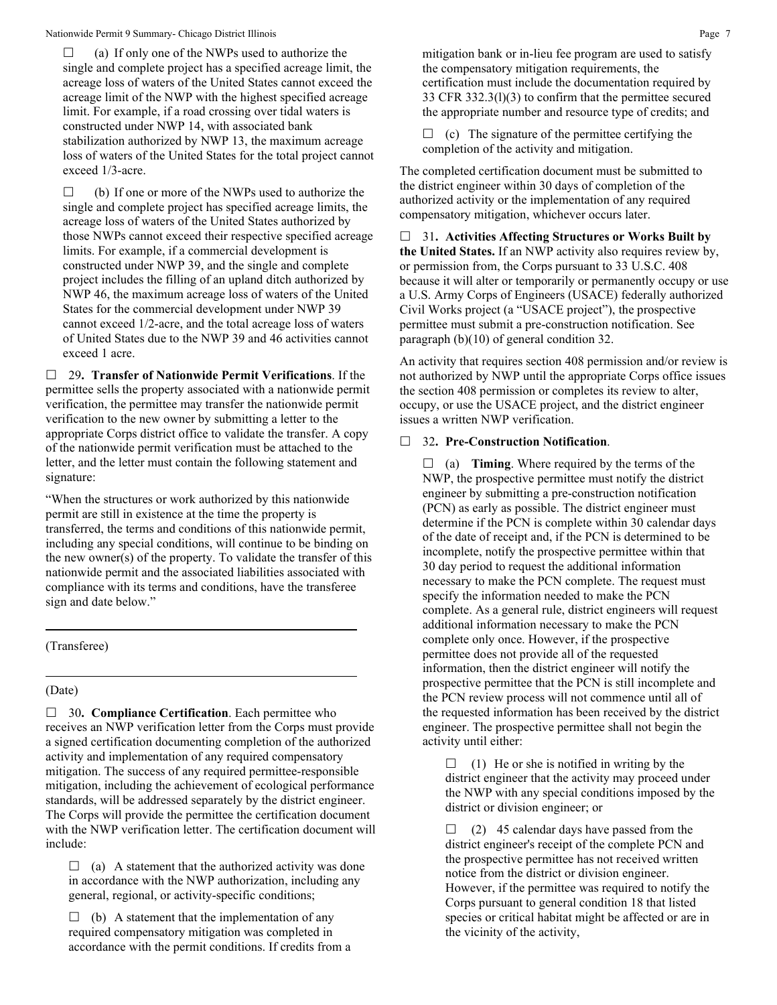$\Box$  (a) If only one of the NWPs used to authorize the single and complete project has a specified acreage limit, the acreage loss of waters of the United States cannot exceed the acreage limit of the NWP with the highest specified acreage limit. For example, if a road crossing over tidal waters is constructed under NWP 14, with associated bank stabilization authorized by NWP 13, the maximum acreage loss of waters of the United States for the total project cannot exceed 1/3-acre.

 $\Box$  (b) If one or more of the NWPs used to authorize the single and complete project has specified acreage limits, the acreage loss of waters of the United States authorized by those NWPs cannot exceed their respective specified acreage limits. For example, if a commercial development is constructed under NWP 39, and the single and complete project includes the filling of an upland ditch authorized by NWP 46, the maximum acreage loss of waters of the United States for the commercial development under NWP 39 cannot exceed 1/2-acre, and the total acreage loss of waters of United States due to the NWP 39 and 46 activities cannot exceed 1 acre.

 29**. Transfer of Nationwide Permit Verifications**. If the permittee sells the property associated with a nationwide permit verification, the permittee may transfer the nationwide permit verification to the new owner by submitting a letter to the appropriate Corps district office to validate the transfer. A copy of the nationwide permit verification must be attached to the letter, and the letter must contain the following statement and signature:

"When the structures or work authorized by this nationwide permit are still in existence at the time the property is transferred, the terms and conditions of this nationwide permit, including any special conditions, will continue to be binding on the new owner(s) of the property. To validate the transfer of this nationwide permit and the associated liabilities associated with compliance with its terms and conditions, have the transferee sign and date below."

## (Transferee)

#### (Date)

□ 30. **Compliance Certification**. Each permittee who receives an NWP verification letter from the Corps must provide a signed certification documenting completion of the authorized activity and implementation of any required compensatory mitigation. The success of any required permittee-responsible mitigation, including the achievement of ecological performance standards, will be addressed separately by the district engineer. The Corps will provide the permittee the certification document with the NWP verification letter. The certification document will include:

 $\Box$  (a) A statement that the authorized activity was done in accordance with the NWP authorization, including any general, regional, or activity-specific conditions;

 $\Box$  (b) A statement that the implementation of any required compensatory mitigation was completed in accordance with the permit conditions. If credits from a mitigation bank or in-lieu fee program are used to satisfy the compensatory mitigation requirements, the certification must include the documentation required by 33 CFR 332.3(l)(3) to confirm that the permittee secured the appropriate number and resource type of credits; and

 $\Box$  (c) The signature of the permittee certifying the completion of the activity and mitigation.

The completed certification document must be submitted to the district engineer within 30 days of completion of the authorized activity or the implementation of any required compensatory mitigation, whichever occurs later.

 31**. Activities Affecting Structures or Works Built by the United States.** If an NWP activity also requires review by, or permission from, the Corps pursuant to 33 U.S.C. 408 because it will alter or temporarily or permanently occupy or use a U.S. Army Corps of Engineers (USACE) federally authorized Civil Works project (a "USACE project"), the prospective permittee must submit a pre-construction notification. See paragraph (b)(10) of general condition 32.

An activity that requires section 408 permission and/or review is not authorized by NWP until the appropriate Corps office issues the section 408 permission or completes its review to alter, occupy, or use the USACE project, and the district engineer issues a written NWP verification.

#### 32**. Pre-Construction Notification**.

 $\Box$  (a) **Timing**. Where required by the terms of the NWP, the prospective permittee must notify the district engineer by submitting a pre-construction notification (PCN) as early as possible. The district engineer must determine if the PCN is complete within 30 calendar days of the date of receipt and, if the PCN is determined to be incomplete, notify the prospective permittee within that 30 day period to request the additional information necessary to make the PCN complete. The request must specify the information needed to make the PCN complete. As a general rule, district engineers will request additional information necessary to make the PCN complete only once. However, if the prospective permittee does not provide all of the requested information, then the district engineer will notify the prospective permittee that the PCN is still incomplete and the PCN review process will not commence until all of the requested information has been received by the district engineer. The prospective permittee shall not begin the activity until either:

 $\Box$  (1) He or she is notified in writing by the district engineer that the activity may proceed under the NWP with any special conditions imposed by the district or division engineer; or

 $\Box$  (2) 45 calendar days have passed from the district engineer's receipt of the complete PCN and the prospective permittee has not received written notice from the district or division engineer. However, if the permittee was required to notify the Corps pursuant to general condition 18 that listed species or critical habitat might be affected or are in the vicinity of the activity,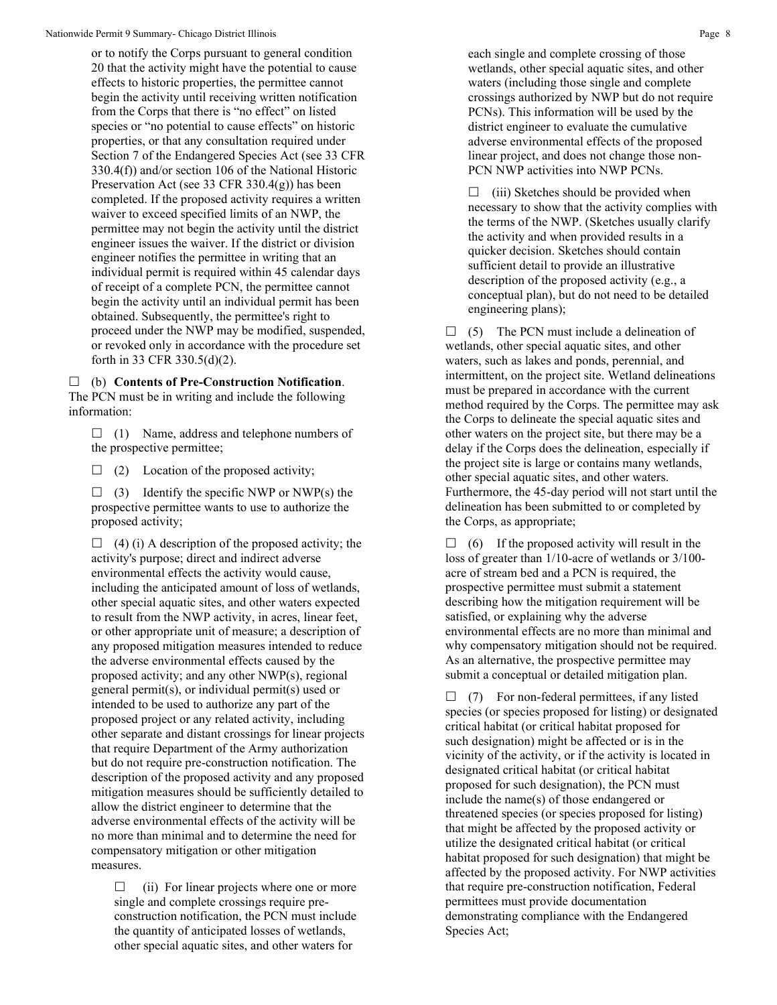or to notify the Corps pursuant to general condition 20 that the activity might have the potential to cause effects to historic properties, the permittee cannot begin the activity until receiving written notification from the Corps that there is "no effect" on listed species or "no potential to cause effects" on historic properties, or that any consultation required under Section 7 of the Endangered Species Act (see 33 CFR 330.4(f)) and/or section 106 of the National Historic Preservation Act (see 33 CFR 330.4(g)) has been completed. If the proposed activity requires a written waiver to exceed specified limits of an NWP, the permittee may not begin the activity until the district engineer issues the waiver. If the district or division engineer notifies the permittee in writing that an individual permit is required within 45 calendar days of receipt of a complete PCN, the permittee cannot begin the activity until an individual permit has been obtained. Subsequently, the permittee's right to proceed under the NWP may be modified, suspended, or revoked only in accordance with the procedure set forth in 33 CFR 330.5(d)(2).

 (b) **Contents of Pre-Construction Notification**. The PCN must be in writing and include the following information:

 $\Box$  (1) Name, address and telephone numbers of the prospective permittee;

 $\Box$  (2) Location of the proposed activity;

 $\Box$  (3) Identify the specific NWP or NWP(s) the prospective permittee wants to use to authorize the proposed activity;

 $\Box$  (4) (i) A description of the proposed activity; the activity's purpose; direct and indirect adverse environmental effects the activity would cause, including the anticipated amount of loss of wetlands, other special aquatic sites, and other waters expected to result from the NWP activity, in acres, linear feet, or other appropriate unit of measure; a description of any proposed mitigation measures intended to reduce the adverse environmental effects caused by the proposed activity; and any other NWP(s), regional general permit(s), or individual permit(s) used or intended to be used to authorize any part of the proposed project or any related activity, including other separate and distant crossings for linear projects that require Department of the Army authorization but do not require pre-construction notification. The description of the proposed activity and any proposed mitigation measures should be sufficiently detailed to allow the district engineer to determine that the adverse environmental effects of the activity will be no more than minimal and to determine the need for compensatory mitigation or other mitigation measures.

 $\Box$  (ii) For linear projects where one or more single and complete crossings require preconstruction notification, the PCN must include the quantity of anticipated losses of wetlands, other special aquatic sites, and other waters for

each single and complete crossing of those wetlands, other special aquatic sites, and other waters (including those single and complete crossings authorized by NWP but do not require PCNs). This information will be used by the district engineer to evaluate the cumulative adverse environmental effects of the proposed linear project, and does not change those non-PCN NWP activities into NWP PCNs.

 $\Box$  (iii) Sketches should be provided when necessary to show that the activity complies with the terms of the NWP. (Sketches usually clarify the activity and when provided results in a quicker decision. Sketches should contain sufficient detail to provide an illustrative description of the proposed activity (e.g., a conceptual plan), but do not need to be detailed engineering plans);

 $\Box$  (5) The PCN must include a delineation of wetlands, other special aquatic sites, and other waters, such as lakes and ponds, perennial, and intermittent, on the project site. Wetland delineations must be prepared in accordance with the current method required by the Corps. The permittee may ask the Corps to delineate the special aquatic sites and other waters on the project site, but there may be a delay if the Corps does the delineation, especially if the project site is large or contains many wetlands, other special aquatic sites, and other waters. Furthermore, the 45-day period will not start until the delineation has been submitted to or completed by the Corps, as appropriate;

 $\Box$  (6) If the proposed activity will result in the loss of greater than 1/10-acre of wetlands or 3/100 acre of stream bed and a PCN is required, the prospective permittee must submit a statement describing how the mitigation requirement will be satisfied, or explaining why the adverse environmental effects are no more than minimal and why compensatory mitigation should not be required. As an alternative, the prospective permittee may submit a conceptual or detailed mitigation plan.

 $\Box$  (7) For non-federal permittees, if any listed species (or species proposed for listing) or designated critical habitat (or critical habitat proposed for such designation) might be affected or is in the vicinity of the activity, or if the activity is located in designated critical habitat (or critical habitat proposed for such designation), the PCN must include the name(s) of those endangered or threatened species (or species proposed for listing) that might be affected by the proposed activity or utilize the designated critical habitat (or critical habitat proposed for such designation) that might be affected by the proposed activity. For NWP activities that require pre-construction notification, Federal permittees must provide documentation demonstrating compliance with the Endangered Species Act;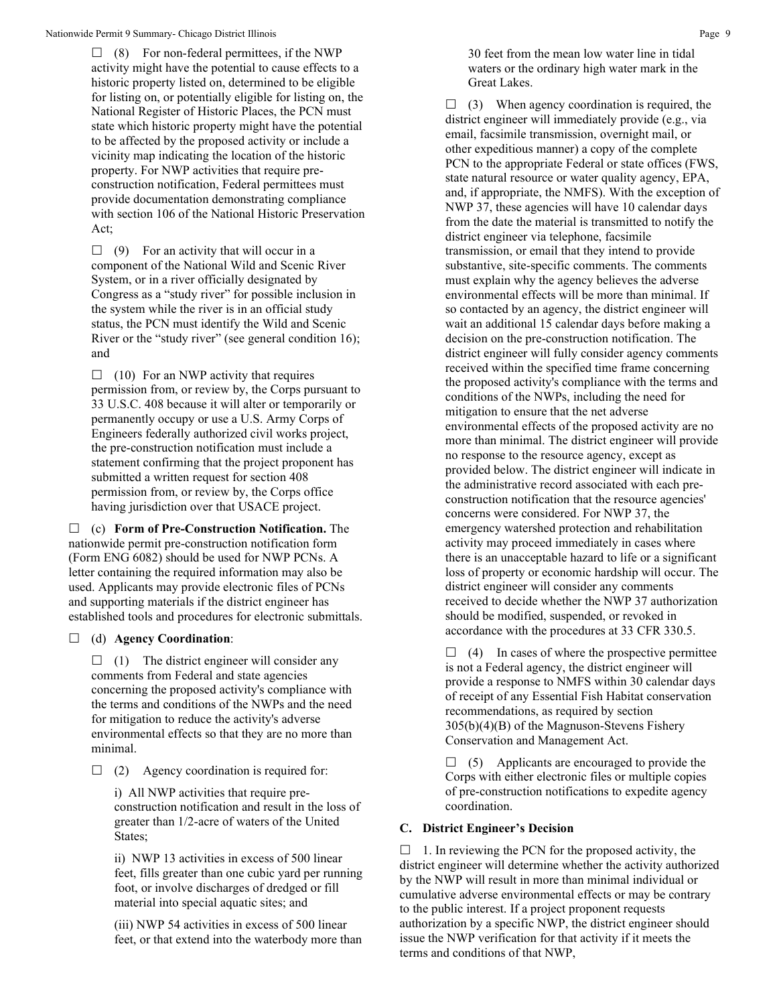$\Box$  (8) For non-federal permittees, if the NWP activity might have the potential to cause effects to a historic property listed on, determined to be eligible for listing on, or potentially eligible for listing on, the National Register of Historic Places, the PCN must state which historic property might have the potential to be affected by the proposed activity or include a vicinity map indicating the location of the historic property. For NWP activities that require preconstruction notification, Federal permittees must provide documentation demonstrating compliance with section 106 of the National Historic Preservation Act;

 $\Box$  (9) For an activity that will occur in a component of the National Wild and Scenic River System, or in a river officially designated by Congress as a "study river" for possible inclusion in the system while the river is in an official study status, the PCN must identify the Wild and Scenic River or the "study river" (see general condition 16); and

 $\Box$  (10) For an NWP activity that requires permission from, or review by, the Corps pursuant to 33 U.S.C. 408 because it will alter or temporarily or permanently occupy or use a U.S. Army Corps of Engineers federally authorized civil works project, the pre-construction notification must include a statement confirming that the project proponent has submitted a written request for section 408 permission from, or review by, the Corps office having jurisdiction over that USACE project.

 (c) **Form of Pre-Construction Notification.** The nationwide permit pre-construction notification form (Form ENG 6082) should be used for NWP PCNs. A letter containing the required information may also be used. Applicants may provide electronic files of PCNs and supporting materials if the district engineer has established tools and procedures for electronic submittals.

## (d) **Agency Coordination**:

 $\Box$  (1) The district engineer will consider any comments from Federal and state agencies concerning the proposed activity's compliance with the terms and conditions of the NWPs and the need for mitigation to reduce the activity's adverse environmental effects so that they are no more than minimal.

 $\Box$  (2) Agency coordination is required for:

i) All NWP activities that require preconstruction notification and result in the loss of greater than 1/2-acre of waters of the United States;

ii) NWP 13 activities in excess of 500 linear feet, fills greater than one cubic yard per running foot, or involve discharges of dredged or fill material into special aquatic sites; and

(iii) NWP 54 activities in excess of 500 linear feet, or that extend into the waterbody more than

30 feet from the mean low water line in tidal waters or the ordinary high water mark in the Great Lakes.

 $\Box$  (3) When agency coordination is required, the district engineer will immediately provide (e.g., via email, facsimile transmission, overnight mail, or other expeditious manner) a copy of the complete PCN to the appropriate Federal or state offices (FWS, state natural resource or water quality agency, EPA, and, if appropriate, the NMFS). With the exception of NWP 37, these agencies will have 10 calendar days from the date the material is transmitted to notify the district engineer via telephone, facsimile transmission, or email that they intend to provide substantive, site-specific comments. The comments must explain why the agency believes the adverse environmental effects will be more than minimal. If so contacted by an agency, the district engineer will wait an additional 15 calendar days before making a decision on the pre-construction notification. The district engineer will fully consider agency comments received within the specified time frame concerning the proposed activity's compliance with the terms and conditions of the NWPs, including the need for mitigation to ensure that the net adverse environmental effects of the proposed activity are no more than minimal. The district engineer will provide no response to the resource agency, except as provided below. The district engineer will indicate in the administrative record associated with each preconstruction notification that the resource agencies' concerns were considered. For NWP 37, the emergency watershed protection and rehabilitation activity may proceed immediately in cases where there is an unacceptable hazard to life or a significant loss of property or economic hardship will occur. The district engineer will consider any comments received to decide whether the NWP 37 authorization should be modified, suspended, or revoked in accordance with the procedures at 33 CFR 330.5.

 $\Box$  (4) In cases of where the prospective permittee is not a Federal agency, the district engineer will provide a response to NMFS within 30 calendar days of receipt of any Essential Fish Habitat conservation recommendations, as required by section 305(b)(4)(B) of the Magnuson-Stevens Fishery Conservation and Management Act.

 $\Box$  (5) Applicants are encouraged to provide the Corps with either electronic files or multiple copies of pre-construction notifications to expedite agency coordination.

## **C. District Engineer's Decision**

 $\Box$  1. In reviewing the PCN for the proposed activity, the district engineer will determine whether the activity authorized by the NWP will result in more than minimal individual or cumulative adverse environmental effects or may be contrary to the public interest. If a project proponent requests authorization by a specific NWP, the district engineer should issue the NWP verification for that activity if it meets the terms and conditions of that NWP,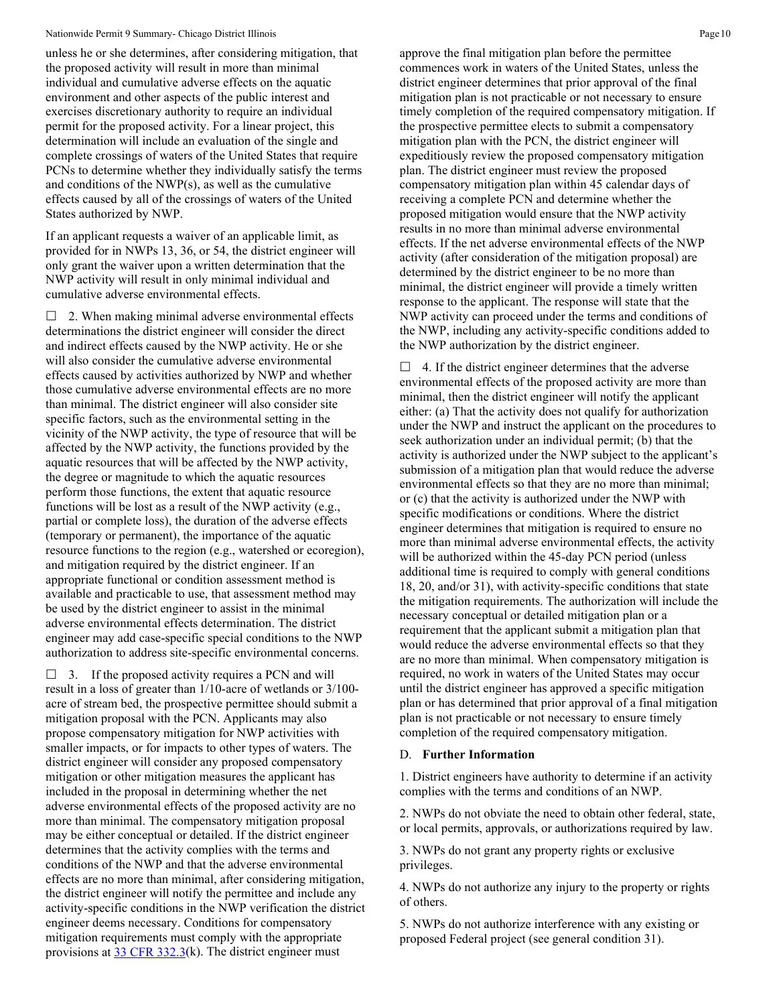#### Nationwide Permit 9 Summary- Chicago District Illinois **Page 10** National Research of Page 10

unless he or she determines, after considering mitigation, that the proposed activity will result in more than minimal individual and cumulative adverse effects on the aquatic environment and other aspects of the public interest and exercises discretionary authority to require an individual permit for the proposed activity. For a linear project, this determination will include an evaluation of the single and complete crossings of waters of the United States that require PCNs to determine whether they individually satisfy the terms and conditions of the NWP(s), as well as the cumulative effects caused by all of the crossings of waters of the United States authorized by NWP.

If an applicant requests a waiver of an applicable limit, as provided for in NWPs 13, 36, or 54, the district engineer will only grant the waiver upon a written determination that the NWP activity will result in only minimal individual and cumulative adverse environmental effects.

 $\Box$  2. When making minimal adverse environmental effects determinations the district engineer will consider the direct and indirect effects caused by the NWP activity. He or she will also consider the cumulative adverse environmental effects caused by activities authorized by NWP and whether those cumulative adverse environmental effects are no more than minimal. The district engineer will also consider site specific factors, such as the environmental setting in the vicinity of the NWP activity, the type of resource that will be affected by the NWP activity, the functions provided by the aquatic resources that will be affected by the NWP activity, the degree or magnitude to which the aquatic resources perform those functions, the extent that aquatic resource functions will be lost as a result of the NWP activity (e.g., partial or complete loss), the duration of the adverse effects (temporary or permanent), the importance of the aquatic resource functions to the region (e.g., watershed or ecoregion), and mitigation required by the district engineer. If an appropriate functional or condition assessment method is available and practicable to use, that assessment method may be used by the district engineer to assist in the minimal adverse environmental effects determination. The district engineer may add case-specific special conditions to the NWP authorization to address site-specific environmental concerns.

 $\Box$  3. If the proposed activity requires a PCN and will result in a loss of greater than 1/10-acre of wetlands or 3/100 acre of stream bed, the prospective permittee should submit a mitigation proposal with the PCN. Applicants may also propose compensatory mitigation for NWP activities with smaller impacts, or for impacts to other types of waters. The district engineer will consider any proposed compensatory mitigation or other mitigation measures the applicant has included in the proposal in determining whether the net adverse environmental effects of the proposed activity are no more than minimal. The compensatory mitigation proposal may be either conceptual or detailed. If the district engineer determines that the activity complies with the terms and conditions of the NWP and that the adverse environmental effects are no more than minimal, after considering mitigation, the district engineer will notify the permittee and include any activity-specific conditions in the NWP verification the district engineer deems necessary. Conditions for compensatory mitigation requirements must comply with the appropriate provisions at  $33 \text{ CFR } 332.3(k)$ . The district engineer must

approve the final mitigation plan before the permittee commences work in waters of the United States, unless the district engineer determines that prior approval of the final mitigation plan is not practicable or not necessary to ensure timely completion of the required compensatory mitigation. If the prospective permittee elects to submit a compensatory mitigation plan with the PCN, the district engineer will expeditiously review the proposed compensatory mitigation plan. The district engineer must review the proposed compensatory mitigation plan within 45 calendar days of receiving a complete PCN and determine whether the proposed mitigation would ensure that the NWP activity results in no more than minimal adverse environmental effects. If the net adverse environmental effects of the NWP activity (after consideration of the mitigation proposal) are determined by the district engineer to be no more than minimal, the district engineer will provide a timely written response to the applicant. The response will state that the NWP activity can proceed under the terms and conditions of the NWP, including any activity-specific conditions added to the NWP authorization by the district engineer.

 $\Box$  4. If the district engineer determines that the adverse environmental effects of the proposed activity are more than minimal, then the district engineer will notify the applicant either: (a) That the activity does not qualify for authorization under the NWP and instruct the applicant on the procedures to seek authorization under an individual permit; (b) that the activity is authorized under the NWP subject to the applicant's submission of a mitigation plan that would reduce the adverse environmental effects so that they are no more than minimal; or (c) that the activity is authorized under the NWP with specific modifications or conditions. Where the district engineer determines that mitigation is required to ensure no more than minimal adverse environmental effects, the activity will be authorized within the 45-day PCN period (unless additional time is required to comply with general conditions 18, 20, and/or 31), with activity-specific conditions that state the mitigation requirements. The authorization will include the necessary conceptual or detailed mitigation plan or a requirement that the applicant submit a mitigation plan that would reduce the adverse environmental effects so that they are no more than minimal. When compensatory mitigation is required, no work in waters of the United States may occur until the district engineer has approved a specific mitigation plan or has determined that prior approval of a final mitigation plan is not practicable or not necessary to ensure timely completion of the required compensatory mitigation.

#### D. **Further Information**

1. District engineers have authority to determine if an activity complies with the terms and conditions of an NWP.

2. NWPs do not obviate the need to obtain other federal, state, or local permits, approvals, or authorizations required by law.

3. NWPs do not grant any property rights or exclusive privileges.

4. NWPs do not authorize any injury to the property or rights of others.

5. NWPs do not authorize interference with any existing or proposed Federal project (see general condition 31).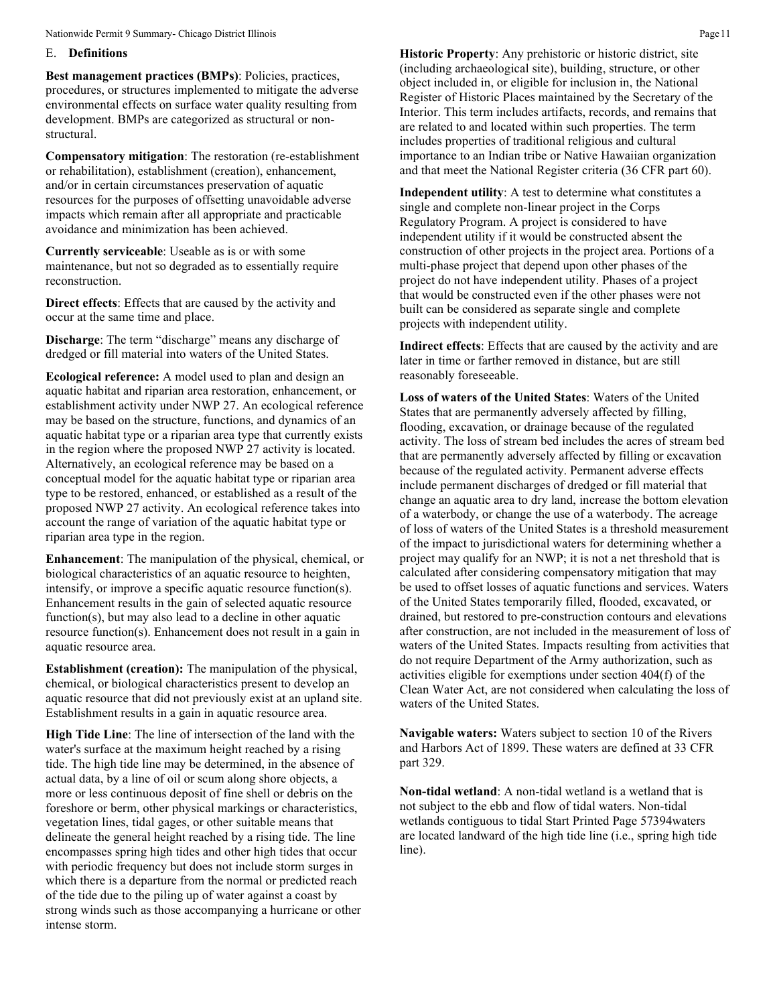#### E. **Definitions**

**Best management practices (BMPs)**: Policies, practices, procedures, or structures implemented to mitigate the adverse environmental effects on surface water quality resulting from development. BMPs are categorized as structural or nonstructural.

**Compensatory mitigation**: The restoration (re-establishment or rehabilitation), establishment (creation), enhancement, and/or in certain circumstances preservation of aquatic resources for the purposes of offsetting unavoidable adverse impacts which remain after all appropriate and practicable avoidance and minimization has been achieved.

**Currently serviceable**: Useable as is or with some maintenance, but not so degraded as to essentially require reconstruction.

**Direct effects**: Effects that are caused by the activity and occur at the same time and place.

**Discharge**: The term "discharge" means any discharge of dredged or fill material into waters of the United States.

**Ecological reference:** A model used to plan and design an aquatic habitat and riparian area restoration, enhancement, or establishment activity under NWP 27. An ecological reference may be based on the structure, functions, and dynamics of an aquatic habitat type or a riparian area type that currently exists in the region where the proposed NWP 27 activity is located. Alternatively, an ecological reference may be based on a conceptual model for the aquatic habitat type or riparian area type to be restored, enhanced, or established as a result of the proposed NWP 27 activity. An ecological reference takes into account the range of variation of the aquatic habitat type or riparian area type in the region.

**Enhancement**: The manipulation of the physical, chemical, or biological characteristics of an aquatic resource to heighten, intensify, or improve a specific aquatic resource function(s). Enhancement results in the gain of selected aquatic resource function(s), but may also lead to a decline in other aquatic resource function(s). Enhancement does not result in a gain in aquatic resource area.

**Establishment (creation):** The manipulation of the physical, chemical, or biological characteristics present to develop an aquatic resource that did not previously exist at an upland site. Establishment results in a gain in aquatic resource area.

**High Tide Line**: The line of intersection of the land with the water's surface at the maximum height reached by a rising tide. The high tide line may be determined, in the absence of actual data, by a line of oil or scum along shore objects, a more or less continuous deposit of fine shell or debris on the foreshore or berm, other physical markings or characteristics, vegetation lines, tidal gages, or other suitable means that delineate the general height reached by a rising tide. The line encompasses spring high tides and other high tides that occur with periodic frequency but does not include storm surges in which there is a departure from the normal or predicted reach of the tide due to the piling up of water against a coast by strong winds such as those accompanying a hurricane or other intense storm.

**Historic Property**: Any prehistoric or historic district, site (including archaeological site), building, structure, or other object included in, or eligible for inclusion in, the National Register of Historic Places maintained by the Secretary of the Interior. This term includes artifacts, records, and remains that are related to and located within such properties. The term includes properties of traditional religious and cultural importance to an Indian tribe or Native Hawaiian organization and that meet the National Register criteria (36 CFR part 60).

**Independent utility**: A test to determine what constitutes a single and complete non-linear project in the Corps Regulatory Program. A project is considered to have independent utility if it would be constructed absent the construction of other projects in the project area. Portions of a multi-phase project that depend upon other phases of the project do not have independent utility. Phases of a project that would be constructed even if the other phases were not built can be considered as separate single and complete projects with independent utility.

**Indirect effects**: Effects that are caused by the activity and are later in time or farther removed in distance, but are still reasonably foreseeable.

**Loss of waters of the United States**: Waters of the United States that are permanently adversely affected by filling, flooding, excavation, or drainage because of the regulated activity. The loss of stream bed includes the acres of stream bed that are permanently adversely affected by filling or excavation because of the regulated activity. Permanent adverse effects include permanent discharges of dredged or fill material that change an aquatic area to dry land, increase the bottom elevation of a waterbody, or change the use of a waterbody. The acreage of loss of waters of the United States is a threshold measurement of the impact to jurisdictional waters for determining whether a project may qualify for an NWP; it is not a net threshold that is calculated after considering compensatory mitigation that may be used to offset losses of aquatic functions and services. Waters of the United States temporarily filled, flooded, excavated, or drained, but restored to pre-construction contours and elevations after construction, are not included in the measurement of loss of waters of the United States. Impacts resulting from activities that do not require Department of the Army authorization, such as activities eligible for exemptions under section 404(f) of the Clean Water Act, are not considered when calculating the loss of waters of the United States.

**Navigable waters:** Waters subject to section 10 of the Rivers and Harbors Act of 1899. These waters are defined at 33 CFR part 329.

**Non-tidal wetland**: A non-tidal wetland is a wetland that is not subject to the ebb and flow of tidal waters. Non-tidal wetlands contiguous to tidal Start Printed Page 57394waters are located landward of the high tide line (i.e., spring high tide line).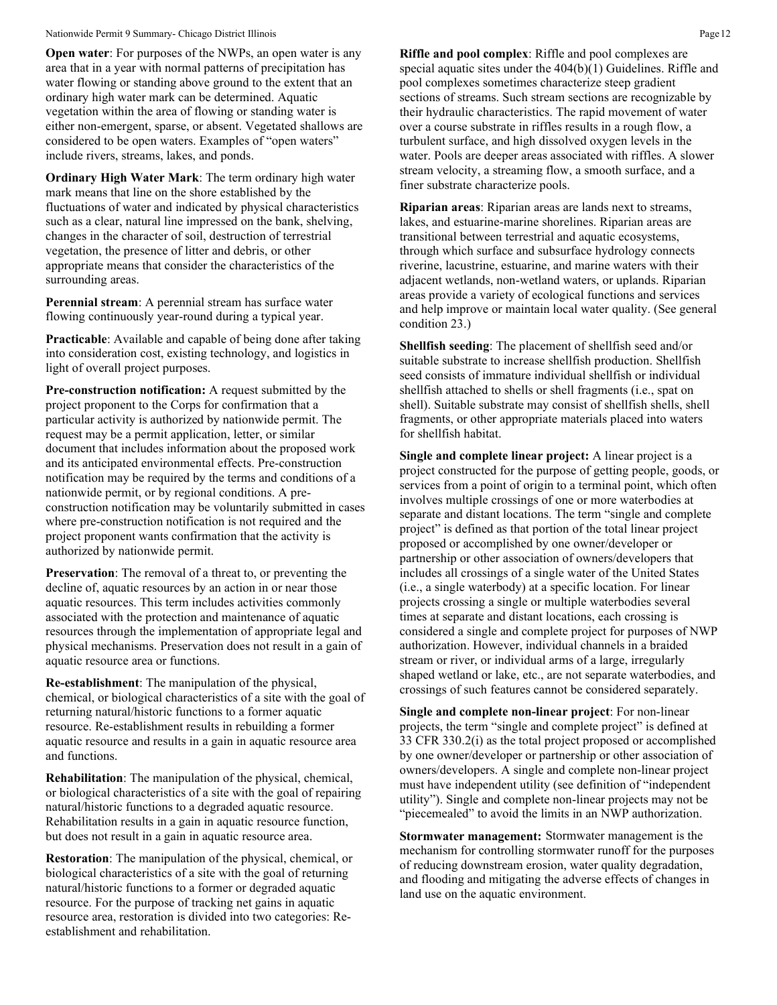#### Nationwide Permit 9 Summary- Chicago District Illinois **Page 12** Page 12

**Open water:** For purposes of the NWPs, an open water is any area that in a year with normal patterns of precipitation has water flowing or standing above ground to the extent that an ordinary high water mark can be determined. Aquatic vegetation within the area of flowing or standing water is either non-emergent, sparse, or absent. Vegetated shallows are considered to be open waters. Examples of "open waters" include rivers, streams, lakes, and ponds.

**Ordinary High Water Mark**: The term ordinary high water mark means that line on the shore established by the fluctuations of water and indicated by physical characteristics such as a clear, natural line impressed on the bank, shelving, changes in the character of soil, destruction of terrestrial vegetation, the presence of litter and debris, or other appropriate means that consider the characteristics of the surrounding areas.

**Perennial stream**: A perennial stream has surface water flowing continuously year-round during a typical year.

**Practicable**: Available and capable of being done after taking into consideration cost, existing technology, and logistics in light of overall project purposes.

**Pre-construction notification:** A request submitted by the project proponent to the Corps for confirmation that a particular activity is authorized by nationwide permit. The request may be a permit application, letter, or similar document that includes information about the proposed work and its anticipated environmental effects. Pre-construction notification may be required by the terms and conditions of a nationwide permit, or by regional conditions. A preconstruction notification may be voluntarily submitted in cases where pre-construction notification is not required and the project proponent wants confirmation that the activity is authorized by nationwide permit.

**Preservation**: The removal of a threat to, or preventing the decline of, aquatic resources by an action in or near those aquatic resources. This term includes activities commonly associated with the protection and maintenance of aquatic resources through the implementation of appropriate legal and physical mechanisms. Preservation does not result in a gain of aquatic resource area or functions.

**Re-establishment**: The manipulation of the physical, chemical, or biological characteristics of a site with the goal of returning natural/historic functions to a former aquatic resource. Re-establishment results in rebuilding a former aquatic resource and results in a gain in aquatic resource area and functions.

**Rehabilitation**: The manipulation of the physical, chemical, or biological characteristics of a site with the goal of repairing natural/historic functions to a degraded aquatic resource. Rehabilitation results in a gain in aquatic resource function, but does not result in a gain in aquatic resource area.

**Restoration**: The manipulation of the physical, chemical, or biological characteristics of a site with the goal of returning natural/historic functions to a former or degraded aquatic resource. For the purpose of tracking net gains in aquatic resource area, restoration is divided into two categories: Reestablishment and rehabilitation.

**Riffle and pool complex**: Riffle and pool complexes are special aquatic sites under the 404(b)(1) Guidelines. Riffle and pool complexes sometimes characterize steep gradient sections of streams. Such stream sections are recognizable by their hydraulic characteristics. The rapid movement of water over a course substrate in riffles results in a rough flow, a turbulent surface, and high dissolved oxygen levels in the water. Pools are deeper areas associated with riffles. A slower stream velocity, a streaming flow, a smooth surface, and a finer substrate characterize pools.

**Riparian areas**: Riparian areas are lands next to streams, lakes, and estuarine-marine shorelines. Riparian areas are transitional between terrestrial and aquatic ecosystems, through which surface and subsurface hydrology connects riverine, lacustrine, estuarine, and marine waters with their adjacent wetlands, non-wetland waters, or uplands. Riparian areas provide a variety of ecological functions and services and help improve or maintain local water quality. (See general condition 23.)

**Shellfish seeding**: The placement of shellfish seed and/or suitable substrate to increase shellfish production. Shellfish seed consists of immature individual shellfish or individual shellfish attached to shells or shell fragments (i.e., spat on shell). Suitable substrate may consist of shellfish shells, shell fragments, or other appropriate materials placed into waters for shellfish habitat.

**Single and complete linear project:** A linear project is a project constructed for the purpose of getting people, goods, or services from a point of origin to a terminal point, which often involves multiple crossings of one or more waterbodies at separate and distant locations. The term "single and complete project" is defined as that portion of the total linear project proposed or accomplished by one owner/developer or partnership or other association of owners/developers that includes all crossings of a single water of the United States (i.e., a single waterbody) at a specific location. For linear projects crossing a single or multiple waterbodies several times at separate and distant locations, each crossing is considered a single and complete project for purposes of NWP authorization. However, individual channels in a braided stream or river, or individual arms of a large, irregularly shaped wetland or lake, etc., are not separate waterbodies, and crossings of such features cannot be considered separately.

**Single and complete non-linear project**: For non-linear projects, the term "single and complete project" is defined at 33 CFR 330.2(i) as the total project proposed or accomplished by one owner/developer or partnership or other association of owners/developers. A single and complete non-linear project must have independent utility (see definition of "independent utility"). Single and complete non-linear projects may not be "piecemealed" to avoid the limits in an NWP authorization.

**Stormwater management:** Stormwater management is the mechanism for controlling stormwater runoff for the purposes of reducing downstream erosion, water quality degradation, and flooding and mitigating the adverse effects of changes in land use on the aquatic environment.